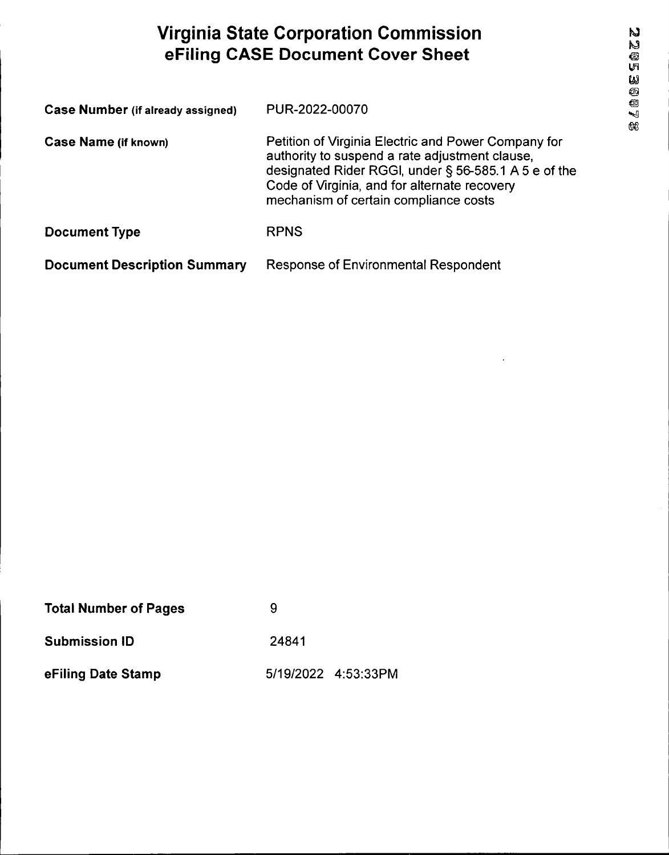# **Virginia State Corporation Commission eFiling CASE Document Cover Sheet**

| <b>Case Number (if already assigned)</b> | PUR-2022-00070                                                                                                                                                                                                                                         |
|------------------------------------------|--------------------------------------------------------------------------------------------------------------------------------------------------------------------------------------------------------------------------------------------------------|
| <b>Case Name (if known)</b>              | Petition of Virginia Electric and Power Company for<br>authority to suspend a rate adjustment clause,<br>designated Rider RGGI, under § 56-585.1 A 5 e of the<br>Code of Virginia, and for alternate recovery<br>mechanism of certain compliance costs |
| <b>Document Type</b>                     | <b>RPNS</b>                                                                                                                                                                                                                                            |
| <b>Document Description Summary</b>      | <b>Response of Environmental Respondent</b>                                                                                                                                                                                                            |

| <b>Total Number of Pages</b> |                     |
|------------------------------|---------------------|
| <b>Submission ID</b>         | 24841               |
| eFiling Date Stamp           | 5/19/2022 4:53:33PM |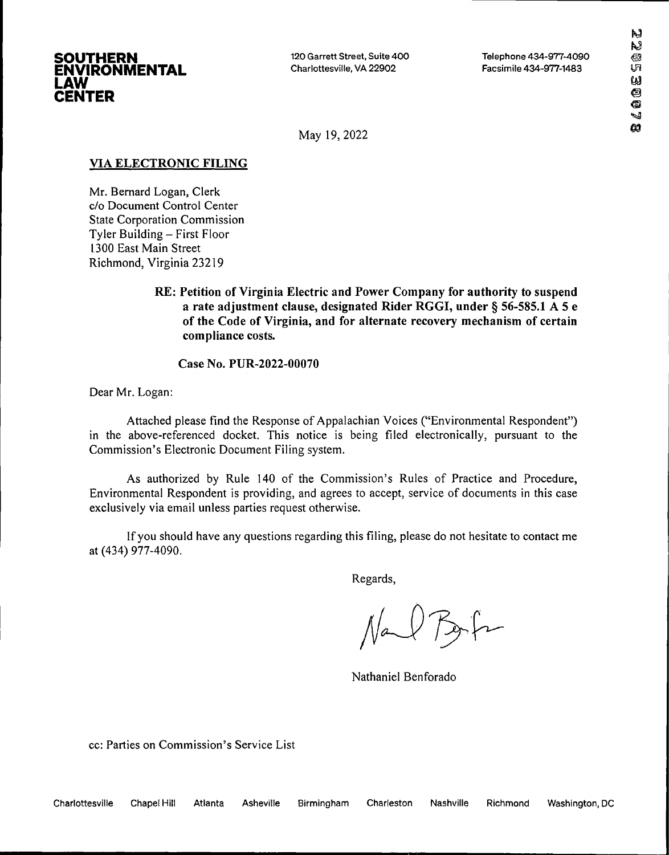

120 Garrett Street, Suite 400 Charlottesville, VA 22902

Telephone 434-977-4090 Facsimile 434-977-1433

May 19, 2022

## **VIA ELECTRONIC FILING**

Mr. Bernard Logan, Clerk c/o Document Control Center State Corporation Commission Tyler Building - First Floor 1300 East Main Street Richmond, Virginia 23219

> **RE: Petition of Virginia Electric and Power Company for authority to suspend a rate adjustment clause, designated Rider RGGI, under § 56-585.1 A 5 e of the Code of Virginia, and for alternate recovery mechanism of certain compliance costs.**

**Case No. PUR-2022-00070**

Dear Mr. Logan:

Attached please find the Response of Appalachian Voices ("Environmental Respondent") in the above-referenced docket. This notice is being filed electronically, pursuant to the Commission's Electronic Document Filing system.

As authorized by Rule 140 of the Commission's Rules of Practice and Procedure, Environmental Respondent is providing, and agrees to accept, service of documents in this case exclusively via email unless parties request otherwise.

Ifyou should have any questions regarding this filing, please do not hesitate to contact me at (434) 977-4090.

Regards,

Bah  $N$ a

Nathaniel Benforado

cc: Parties on Commission's Service List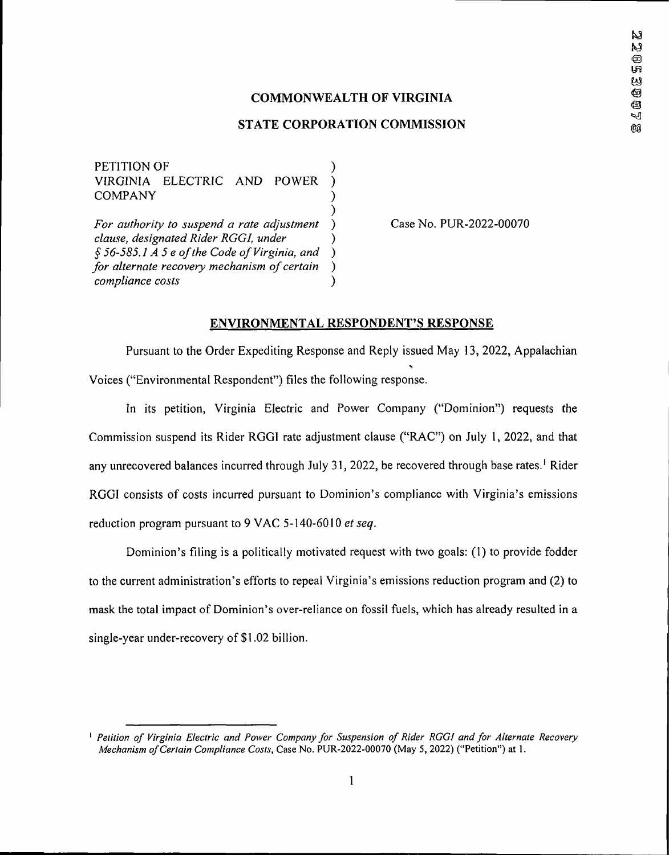## **COMMONWEALTH OF VIRGINIA**

### **STATE CORPORATION COMMISSION**

) PETITION OF VIRGINIA ELECTRIC AND POWER ) **COMPANY** ) *For authority to suspend a rate adjustment ) clause, designated Rider RGGI, under ) £ 56-585.1 A 5 e ofthe Code ofVirginia, and ) for alternate recovery mechanism ofcertain ) compliance costs*

Case No. PUR-2022-00070

#### **ENVIRONMENTAL RESPONDENT'S RESPONSE**

Pursuant to the Order Expediting Response and Reply issued May 13, 2022, Appalachian Voices ("Environmental Respondent") files the following response.

In its petition, Virginia Electric and Power Company ("Dominion") requests the Commission suspend its Rider RGGI rate adjustment clause ("RAC") on July 1, 2022, and that any unrecovered balances incurred through July 31, 2022, be recovered through base rates.<sup>1</sup> Rider RGGI consists of costs incurred pursuant to Dominion's compliance with Virginia's emissions reduction program pursuant to 9 VAC 5-140-6010 *et seq.*

Dominion's filing is a politically motivated request with two goals: (1) to provide fodder to the current administration's efforts to repeal Virginia's emissions reduction program and (2) to mask the total impact of Dominion's over-reliance on fossil fuels, which has already resulted in a single-year under-recovery of \$1.02 billion.

I *Petition of Virginia Electric and Power Company for Suspension of Rider RGGI and for Alternate Recovery Mechanism ofCertain Compliance Costs,* Case No. PUR-2022-00070 (May 5, 2022) ("Petition") at 1.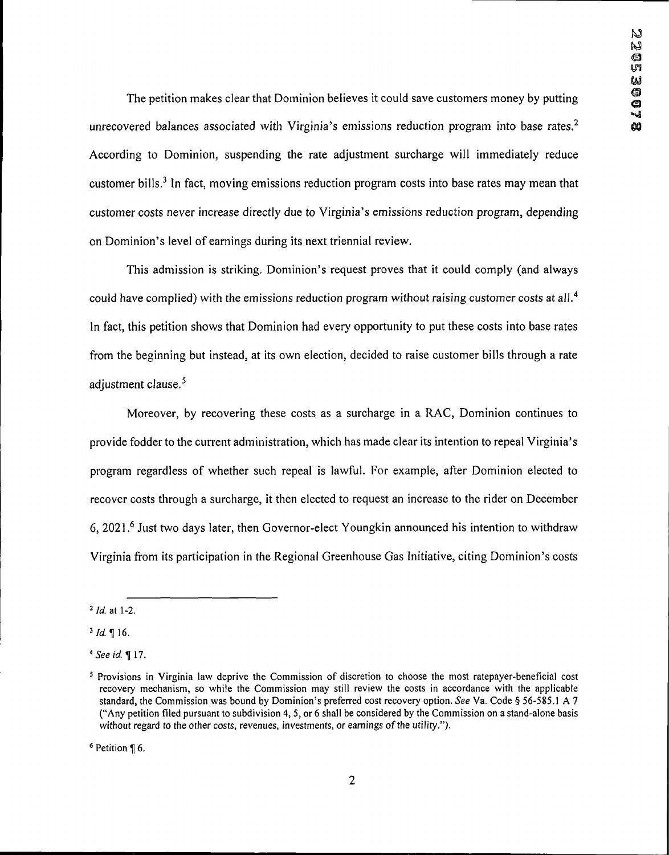The petition makes clear that Dominion believes it could save customers money by putting unrecovered balances associated with Virginia's emissions reduction program into base rates.<sup>2</sup> According to Dominion, suspending the rate adjustment surcharge will immediately reduce customer bills.<sup>3</sup> In fact, moving emissions reduction program costs into base rates may mean that customer costs never increase directly due to Virginia's emissions reduction program, depending on Dominion's level of earnings during its next triennial review.

This admission is striking. Dominion's request proves that it could comply (and always could have complied) with the emissions reduction program without raising customer costs at all.<sup>4</sup> In fact, this petition shows that Dominion had every opportunity to put these costs into base rates from the beginning but instead, at its own election, decided to raise customer bills through a rate adjustment clause.<sup>5</sup>

Moreover, by recovering these costs as a surcharge in a RAC, Dominion continues to provide fodder to the current administration, which has made clear its intention to repeal Virginia's program regardless of whether such repeal is lawful. For example, after Dominion elected to recover costs through a surcharge, it then elected to request an increase to the rider on December 6, 2021.6 Just two days later, then Governor-elect Youngkin announced his intention to withdraw Virginia from its participation in the Regional Greenhouse Gas Initiative, citing Dominion's costs

 $6$  Petition ¶ 6.

*<sup>2</sup> Id.* at 1-2.

 $3$  *Id.* 16.

*<sup>&</sup>lt;sup>4</sup> See id.* 17.

<sup>5</sup> Provisions in Virginia law deprive the Commission of discretion to choose the most ratepayer-beneficial cost recovery mechanism, so while the Commission may still review the costs in accordance with the applicable standard, the Commission was bound by Dominion's preferred cost recovery option. *See* Va. Code § 56-585.1 A 7 ("Any petition filed pursuant to subdivision 4, 5, or 6 shall be considered by the Commission on a stand-alone basis without regard to the other costs, revenues, investments, or earnings of the utility.").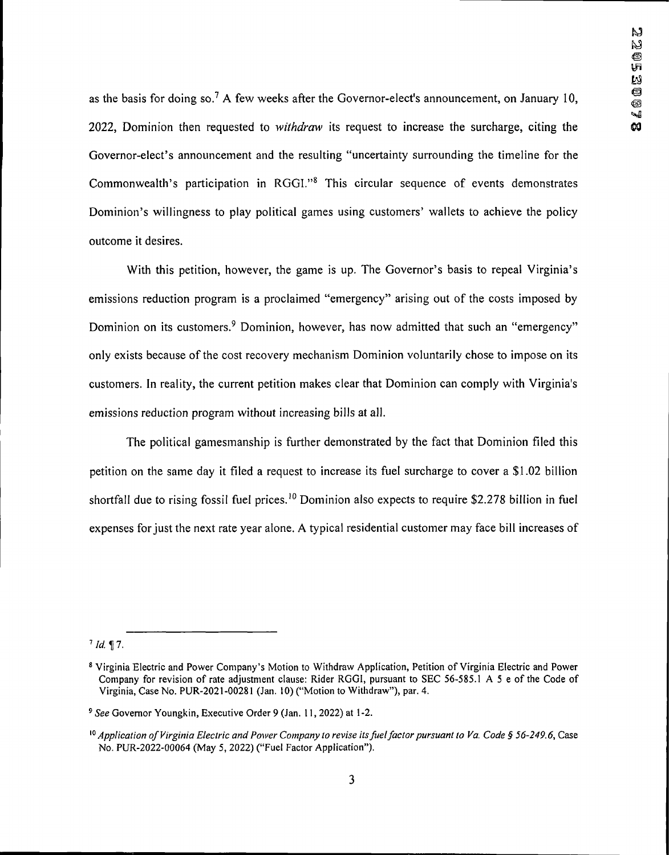as the basis for doing so.<sup>7</sup> A few weeks after the Governor-elect's announcement, on January 10, 2022, Dominion then requested to *withdraw* its request to increase the surcharge, citing the Governor-elect's announcement and the resulting "uncertainty surrounding the timeline for the Commonwealth's participation in  $RGGI$ ."<sup>8</sup> This circular sequence of events demonstrates Dominion's willingness to play political games using customers' wallets to achieve the policy outcome it desires.

With this petition, however, the game is up. The Governor's basis to repeal Virginia's emissions reduction program is a proclaimed "emergency" arising out of the costs imposed by Dominion on its customers.<sup>9</sup> Dominion, however, has now admitted that such an "emergency" only exists because of the cost recovery mechanism Dominion voluntarily chose to impose on its customers. In reality, the current petition makes clear that Dominion can comply with Virginia's emissions reduction program without increasing bills at all.

The political gamesmanship is further demonstrated by the fact that Dominion filed this petition on the same day it filed a request to increase its fuel surcharge to cover a \$1.02 billion shortfall due to rising fossil fuel prices.<sup>10</sup> Dominion also expects to require \$2.278 billion in fuel expenses for just the next rate year alone. A typical residential customer may face bill increases of

 $7$  *Id.* 17.

<sup>8</sup> Virginia Electric and Power Company's Motion to Withdraw Application, Petition of Virginia Electric and Power Company for revision of rate adjustment clause: Rider RGGI, pursuant to SEC 56-585.1 A <sup>5</sup> e of the Code of Virginia, Case No. PUR-2021-00281 (Jan. 10) ("Motion to Withdraw"), par. 4.

*<sup>9</sup> See* Governor Youngkin, Executive Order 9 (Jan. 11,2022) at 1-2.

<sup>&</sup>lt;sup>10</sup> Application of Virginia Electric and Power Company to revise its fuel factor pursuant to Va. Code § 56-249.6, Case No. PUR-2022-00064 (May 5, 2022) ("Fuel Factor Application").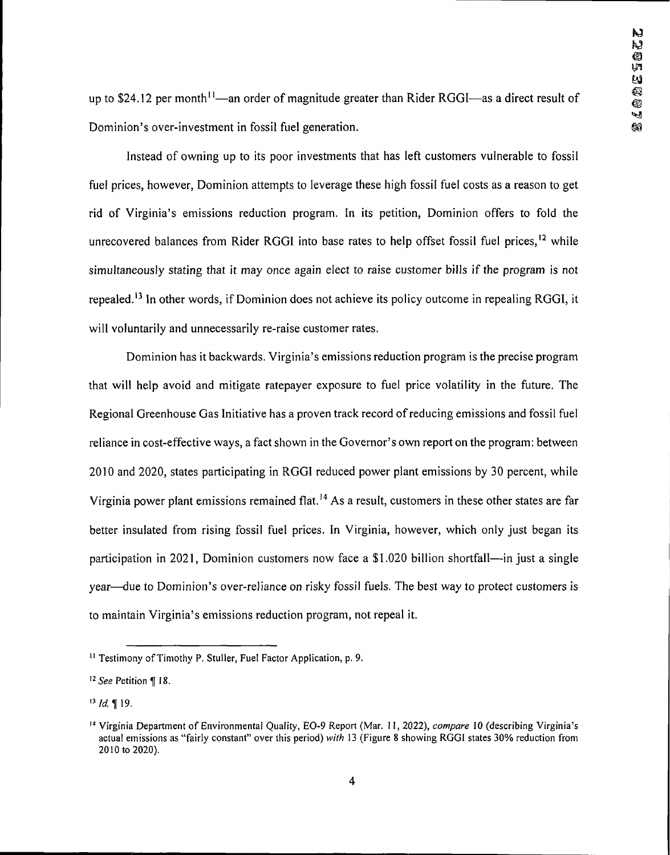up to \$24.12 per month<sup>11</sup>—an order of magnitude greater than Rider RGGI—as a direct result of Dominion's over-investment in fossil fuel generation.

Instead of owning up to its poor investments that has left customers vulnerable to fossil fuel prices, however, Dominion attempts to leverage these high fossil fuel costs as a reason to get rid of Virginia's emissions reduction program. In its petition, Dominion offers to fold the unrecovered balances from Rider RGGI into base rates to help offset fossil fuel prices,<sup>12</sup> while simultaneously stating that it may once again elect to raise customer bills if the program is not repealed.<sup>13</sup> In other words, if Dominion does not achieve its policy outcome in repealing RGGI, it will voluntarily and unnecessarily re-raise customer rates.

Dominion has it backwards. Virginia's emissions reduction program is the precise program that will help avoid and mitigate ratepayer exposure to fuel price volatility in the future. The Regional Greenhouse Gas Initiative has a proven track record of reducing emissions and fossil fuel reliance in cost-effective ways, a fact shown in the Governor's own report on the program: between 2010 and 2020, states participating in RGGI reduced power plant emissions by 30 percent, while Virginia power plant emissions remained flat.<sup>14</sup> As a result, customers in these other states are far better insulated from rising fossil fuel prices. In Virginia, however, which only just began its participation in 2021, Dominion customers now face a \$1,020 billion shortfall—in just a single year—due to Dominion's over-reliance on risky fossil fuels. The best way to protect customers is to maintain Virginia's emissions reduction program, not repeal it.

<sup>&</sup>lt;sup>11</sup> Testimony of Timothy P. Stuller, Fuel Factor Application, p. 9.

*<sup>12</sup>See* Petition <sup>H</sup> 18.

*<sup>13</sup> Id.* H 19.

<sup>14</sup> Virginia Department of Environmental Quality, EO-9 Report (Mar. 11, 2022), *compare* 10 (describing Virginia's actual emissions as "fairly constant" over this period) *with* 13 (Figure 8 showing RGGI states 30% reduction from 2010 to 2020).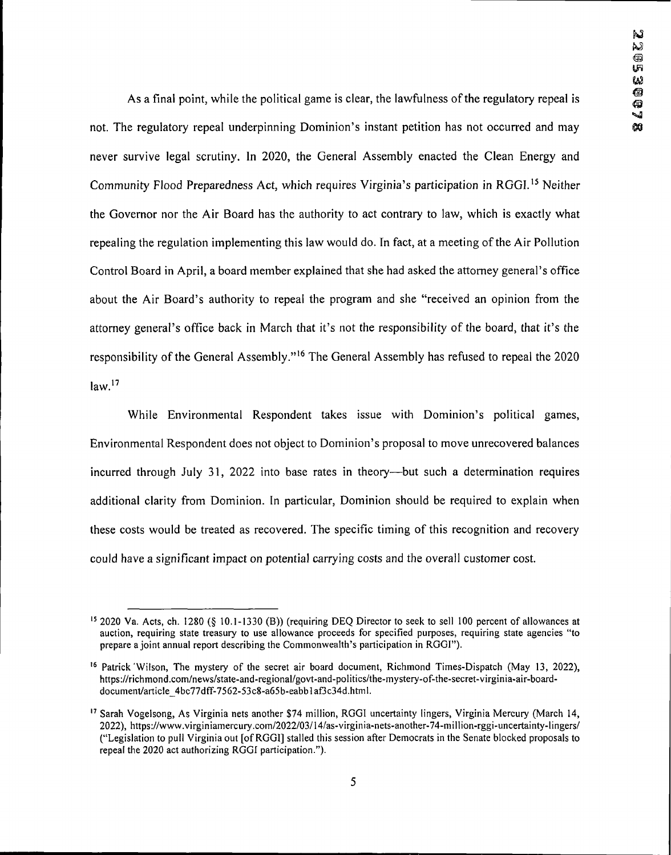As a final point, while the political game is clear, the lawfulness of the regulatory repeal is not. The regulatory repeal underpinning Dominion's instant petition has not occurred and may never survive legal scrutiny. In 2020, the General Assembly enacted the Clean Energy and Community Flood Preparedness Act, which requires Virginia's participation in RGGI.15 Neither the Governor nor the Air Board has the authority to act contrary to law, which is exactly what repealing the regulation implementing this law would do. In fact, at a meeting of the Air Pollution Control Board in April, a board member explained that she had asked the attorney general's office about the Air Board's authority to repeal the program and she "received an opinion from the attorney general's office back in March that it's not the responsibility of the board, that it's the responsibility of the General Assembly."<sup>16</sup> The General Assembly has refused to repeal the 2020  $law.<sup>17</sup>$ 

While Environmental Respondent takes issue with Dominion's political games. Environmental Respondent does not object to Dominion's proposal to move unrecovered balances incurred through July 31, 2022 into base rates in theory—but such a determination requires additional clarity from Dominion. In particular, Dominion should be required to explain when these costs would be treated as recovered. The specific timing of this recognition and recovery could have a significant impact on potential carrying costs and the overall customer cost.

<sup>15</sup> 2020 Va. Acts, ch. 1280 (§ 10.1-1330 (B)) (requiring DEQ Director to seek to sell 100 percent of allowances at auction, requiring state treasury to use allowance proceeds for specified purposes, requiring state agencies "to prepare a joint annual report describing the Commonwealth's participation in RGGI").

<sup>16</sup> Patrick'Wilson, The mystery of the secret air board document, Richmond Times-Dispatch (May 13, 2022), https://richmond.com/news/state-and-regional/govt-and-politics/the-mystery-of-the-secret-virginia-air-boarddocument/article 4bc77dff-7562-53c8-a65b-eabblaf3c34d.html.

<sup>17</sup> Sarah Vogelsong, As Virginia nets another \$74 million, RGGI uncertainty lingers, Virginia Mercury (March 14, 2022), https://www.virginiamercury.com/2022/03/14/as-virginia-nets-another-74-million-rggi-uncertainty-lingers/ ("Legislation to pull Virginia out [ofRGGI] stalled this session after Democrats in the Senate blocked proposals to repeal the 2020 act authorizing RGGI participation.").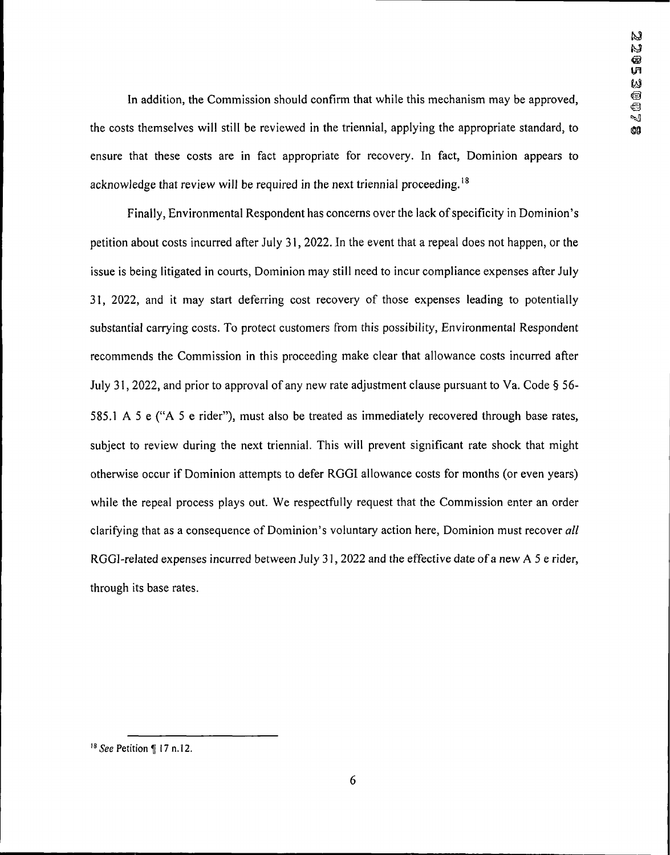In addition, the Commission should confirm that while this mechanism may be approved. the costs themselves will still be reviewed in the triennial, applying the appropriate standard, to ensure that these costs are in fact appropriate for recovery. In fact, Dominion appears to acknowledge that review will be required in the next triennial proceeding.<sup>18</sup>

Finally, Environmental Respondent has concerns over the lack of specificity in Dominion's petition about costs incurred after July 31,2022. In the event that a repeal does not happen, or the issue is being litigated in courts, Dominion may still need to incur compliance expenses after July 31, 2022, and it may start deferring cost recovery of those expenses leading to potentially substantial carrying costs. To protect customers from this possibility, Environmental Respondent recommends the Commission in this proceeding make clear that allowance costs incurred after July 31,2022, and prior to approval of any new rate adjustment clause pursuant to Va. Code §56- 585.1 A 5 e ("A 5 e rider"), must also be treated as immediately recovered through base rates. subject to review during the next triennial. This will prevent significant rate shock that might otherwise occur if Dominion attempts to defer RGGI allowance costs for months (or even years) while the repeal process plays out. We respectfully request that the Commission enter an order clarifying that as a consequence of Dominion's voluntary action here, Dominion must recover *all* RGGI-related expenses incurred between July 31, 2022 and the effective date of a new A 5 e rider, through its base rates.

<sup>&</sup>lt;sup>18</sup> *See* Petition ¶ 17 n.12.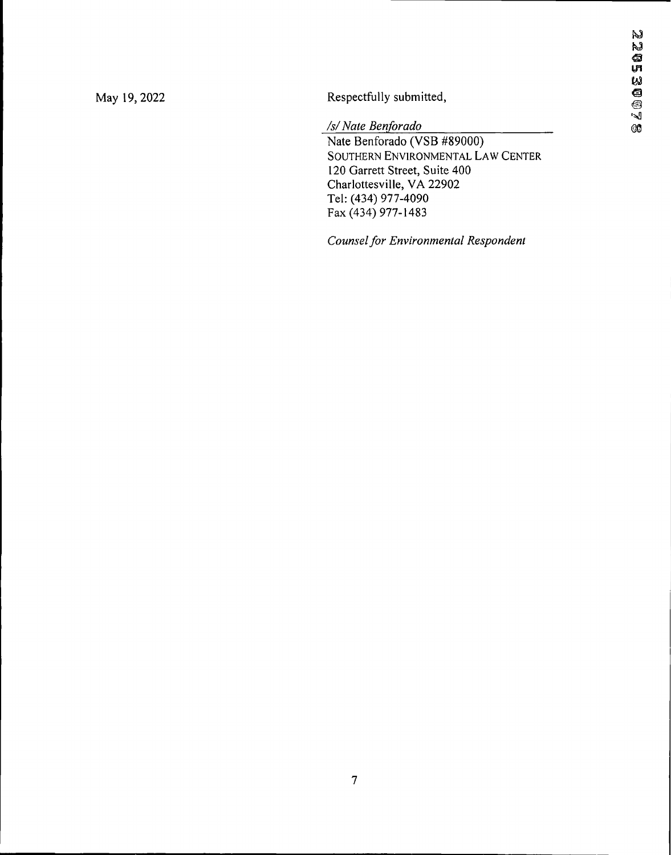May 19, 2022 Respectfully submitted, M<br>Respectfully submitted,<br>*/s/ Nate Benforado*<br>@

Nate Benforado (VSB #89000) Southern Environmental Law Center 120 Garrett Street, Suite 400 Charlottesville, VA 22902 Tel: (434) 977-4090 Fax (434) 977-1483

*Counselfor Environmental Respondent*